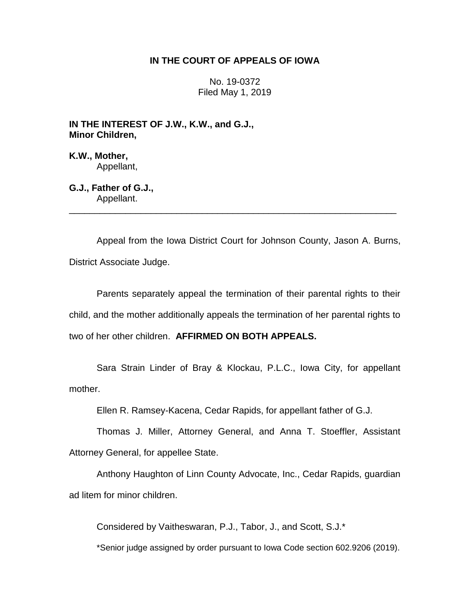## **IN THE COURT OF APPEALS OF IOWA**

No. 19-0372 Filed May 1, 2019

**IN THE INTEREST OF J.W., K.W., and G.J., Minor Children,**

**K.W., Mother,** Appellant,

**G.J., Father of G.J.,** Appellant.

Appeal from the Iowa District Court for Johnson County, Jason A. Burns, District Associate Judge.

\_\_\_\_\_\_\_\_\_\_\_\_\_\_\_\_\_\_\_\_\_\_\_\_\_\_\_\_\_\_\_\_\_\_\_\_\_\_\_\_\_\_\_\_\_\_\_\_\_\_\_\_\_\_\_\_\_\_\_\_\_\_\_\_

Parents separately appeal the termination of their parental rights to their child, and the mother additionally appeals the termination of her parental rights to two of her other children. **AFFIRMED ON BOTH APPEALS.** 

Sara Strain Linder of Bray & Klockau, P.L.C., Iowa City, for appellant mother.

Ellen R. Ramsey-Kacena, Cedar Rapids, for appellant father of G.J.

Thomas J. Miller, Attorney General, and Anna T. Stoeffler, Assistant Attorney General, for appellee State.

Anthony Haughton of Linn County Advocate, Inc., Cedar Rapids, guardian ad litem for minor children.

Considered by Vaitheswaran, P.J., Tabor, J., and Scott, S.J.\*

\*Senior judge assigned by order pursuant to Iowa Code section 602.9206 (2019).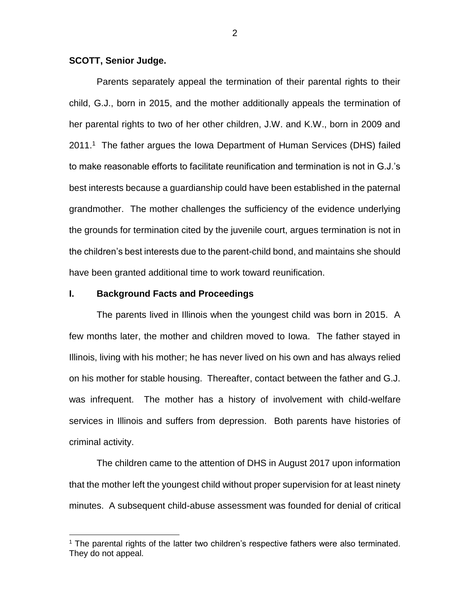### **SCOTT, Senior Judge.**

Parents separately appeal the termination of their parental rights to their child, G.J., born in 2015, and the mother additionally appeals the termination of her parental rights to two of her other children, J.W. and K.W., born in 2009 and 2011.<sup>1</sup> The father argues the Iowa Department of Human Services (DHS) failed to make reasonable efforts to facilitate reunification and termination is not in G.J.'s best interests because a guardianship could have been established in the paternal grandmother. The mother challenges the sufficiency of the evidence underlying the grounds for termination cited by the juvenile court, argues termination is not in the children's best interests due to the parent-child bond, and maintains she should have been granted additional time to work toward reunification.

### **I. Background Facts and Proceedings**

 $\overline{a}$ 

The parents lived in Illinois when the youngest child was born in 2015. A few months later, the mother and children moved to Iowa. The father stayed in Illinois, living with his mother; he has never lived on his own and has always relied on his mother for stable housing. Thereafter, contact between the father and G.J. was infrequent. The mother has a history of involvement with child-welfare services in Illinois and suffers from depression. Both parents have histories of criminal activity.

The children came to the attention of DHS in August 2017 upon information that the mother left the youngest child without proper supervision for at least ninety minutes. A subsequent child-abuse assessment was founded for denial of critical

<sup>1</sup> The parental rights of the latter two children's respective fathers were also terminated. They do not appeal.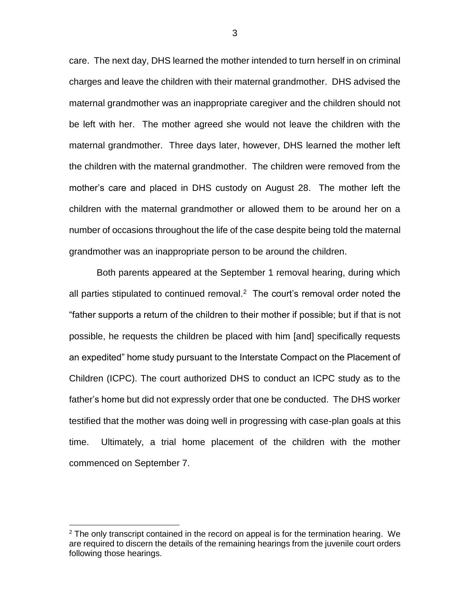care. The next day, DHS learned the mother intended to turn herself in on criminal charges and leave the children with their maternal grandmother. DHS advised the maternal grandmother was an inappropriate caregiver and the children should not be left with her. The mother agreed she would not leave the children with the maternal grandmother. Three days later, however, DHS learned the mother left the children with the maternal grandmother. The children were removed from the mother's care and placed in DHS custody on August 28. The mother left the children with the maternal grandmother or allowed them to be around her on a number of occasions throughout the life of the case despite being told the maternal grandmother was an inappropriate person to be around the children.

Both parents appeared at the September 1 removal hearing, during which all parties stipulated to continued removal.<sup>2</sup> The court's removal order noted the "father supports a return of the children to their mother if possible; but if that is not possible, he requests the children be placed with him [and] specifically requests an expedited" home study pursuant to the Interstate Compact on the Placement of Children (ICPC). The court authorized DHS to conduct an ICPC study as to the father's home but did not expressly order that one be conducted. The DHS worker testified that the mother was doing well in progressing with case-plan goals at this time. Ultimately, a trial home placement of the children with the mother commenced on September 7.

 $\overline{a}$ 

 $2$  The only transcript contained in the record on appeal is for the termination hearing. We are required to discern the details of the remaining hearings from the juvenile court orders following those hearings.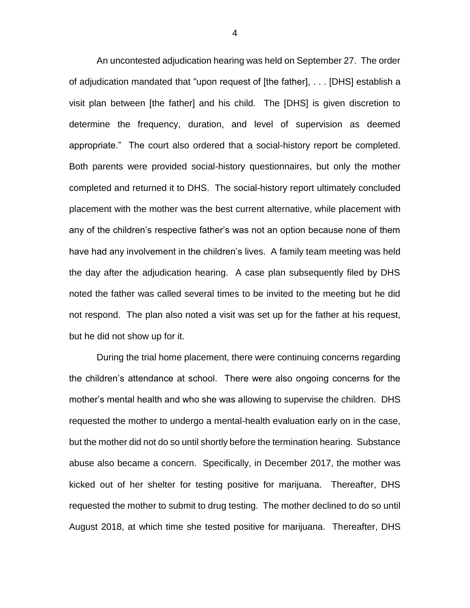An uncontested adjudication hearing was held on September 27. The order of adjudication mandated that "upon request of [the father], . . . [DHS] establish a visit plan between [the father] and his child. The [DHS] is given discretion to determine the frequency, duration, and level of supervision as deemed appropriate." The court also ordered that a social-history report be completed. Both parents were provided social-history questionnaires, but only the mother completed and returned it to DHS. The social-history report ultimately concluded placement with the mother was the best current alternative, while placement with any of the children's respective father's was not an option because none of them have had any involvement in the children's lives. A family team meeting was held the day after the adjudication hearing. A case plan subsequently filed by DHS noted the father was called several times to be invited to the meeting but he did not respond. The plan also noted a visit was set up for the father at his request, but he did not show up for it.

During the trial home placement, there were continuing concerns regarding the children's attendance at school. There were also ongoing concerns for the mother's mental health and who she was allowing to supervise the children. DHS requested the mother to undergo a mental-health evaluation early on in the case, but the mother did not do so until shortly before the termination hearing. Substance abuse also became a concern. Specifically, in December 2017, the mother was kicked out of her shelter for testing positive for marijuana. Thereafter, DHS requested the mother to submit to drug testing. The mother declined to do so until August 2018, at which time she tested positive for marijuana. Thereafter, DHS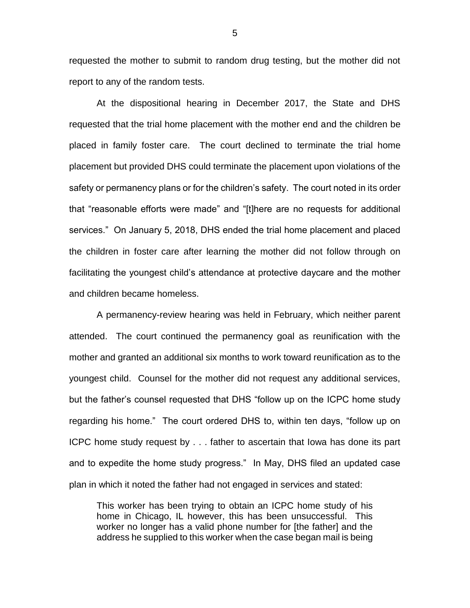requested the mother to submit to random drug testing, but the mother did not report to any of the random tests.

At the dispositional hearing in December 2017, the State and DHS requested that the trial home placement with the mother end and the children be placed in family foster care. The court declined to terminate the trial home placement but provided DHS could terminate the placement upon violations of the safety or permanency plans or for the children's safety. The court noted in its order that "reasonable efforts were made" and "[t]here are no requests for additional services." On January 5, 2018, DHS ended the trial home placement and placed the children in foster care after learning the mother did not follow through on facilitating the youngest child's attendance at protective daycare and the mother and children became homeless.

A permanency-review hearing was held in February, which neither parent attended. The court continued the permanency goal as reunification with the mother and granted an additional six months to work toward reunification as to the youngest child. Counsel for the mother did not request any additional services, but the father's counsel requested that DHS "follow up on the ICPC home study regarding his home." The court ordered DHS to, within ten days, "follow up on ICPC home study request by . . . father to ascertain that Iowa has done its part and to expedite the home study progress." In May, DHS filed an updated case plan in which it noted the father had not engaged in services and stated:

This worker has been trying to obtain an ICPC home study of his home in Chicago, IL however, this has been unsuccessful. This worker no longer has a valid phone number for [the father] and the address he supplied to this worker when the case began mail is being

5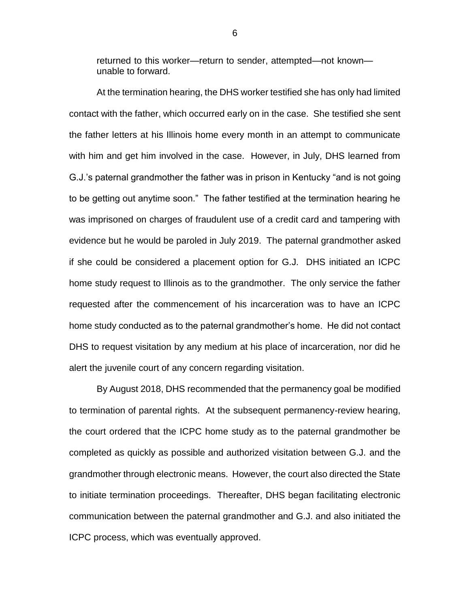returned to this worker—return to sender, attempted—not known unable to forward.

At the termination hearing, the DHS worker testified she has only had limited contact with the father, which occurred early on in the case. She testified she sent the father letters at his Illinois home every month in an attempt to communicate with him and get him involved in the case. However, in July, DHS learned from G.J.'s paternal grandmother the father was in prison in Kentucky "and is not going to be getting out anytime soon." The father testified at the termination hearing he was imprisoned on charges of fraudulent use of a credit card and tampering with evidence but he would be paroled in July 2019. The paternal grandmother asked if she could be considered a placement option for G.J. DHS initiated an ICPC home study request to Illinois as to the grandmother. The only service the father requested after the commencement of his incarceration was to have an ICPC home study conducted as to the paternal grandmother's home. He did not contact DHS to request visitation by any medium at his place of incarceration, nor did he alert the juvenile court of any concern regarding visitation.

By August 2018, DHS recommended that the permanency goal be modified to termination of parental rights. At the subsequent permanency-review hearing, the court ordered that the ICPC home study as to the paternal grandmother be completed as quickly as possible and authorized visitation between G.J. and the grandmother through electronic means. However, the court also directed the State to initiate termination proceedings. Thereafter, DHS began facilitating electronic communication between the paternal grandmother and G.J. and also initiated the ICPC process, which was eventually approved.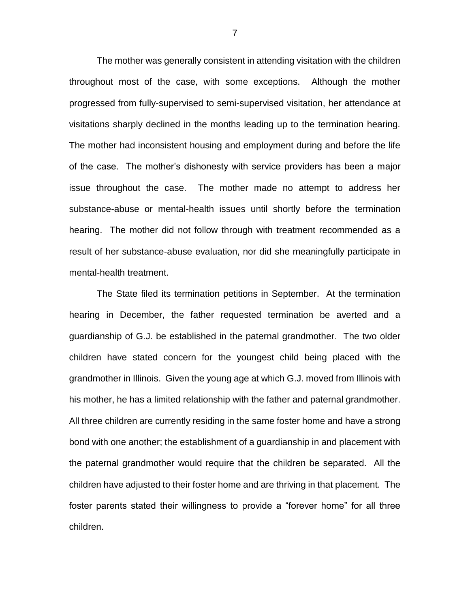The mother was generally consistent in attending visitation with the children throughout most of the case, with some exceptions. Although the mother progressed from fully-supervised to semi-supervised visitation, her attendance at visitations sharply declined in the months leading up to the termination hearing. The mother had inconsistent housing and employment during and before the life of the case. The mother's dishonesty with service providers has been a major issue throughout the case. The mother made no attempt to address her substance-abuse or mental-health issues until shortly before the termination hearing. The mother did not follow through with treatment recommended as a result of her substance-abuse evaluation, nor did she meaningfully participate in mental-health treatment.

The State filed its termination petitions in September. At the termination hearing in December, the father requested termination be averted and a guardianship of G.J. be established in the paternal grandmother. The two older children have stated concern for the youngest child being placed with the grandmother in Illinois. Given the young age at which G.J. moved from Illinois with his mother, he has a limited relationship with the father and paternal grandmother. All three children are currently residing in the same foster home and have a strong bond with one another; the establishment of a guardianship in and placement with the paternal grandmother would require that the children be separated. All the children have adjusted to their foster home and are thriving in that placement. The foster parents stated their willingness to provide a "forever home" for all three children.

7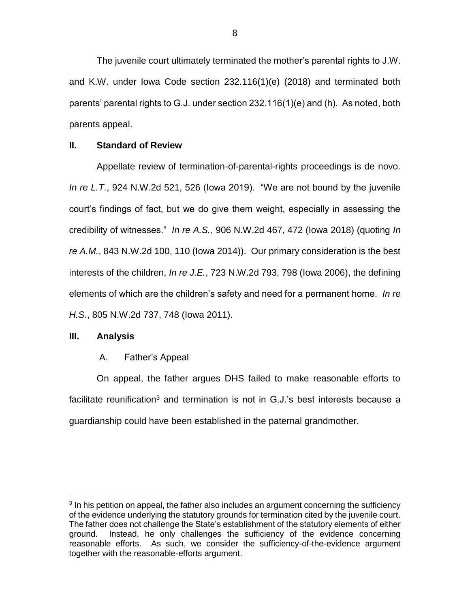The juvenile court ultimately terminated the mother's parental rights to J.W. and K.W. under Iowa Code section 232.116(1)(e) (2018) and terminated both parents' parental rights to G.J. under section 232.116(1)(e) and (h). As noted, both parents appeal.

## **II. Standard of Review**

Appellate review of termination-of-parental-rights proceedings is de novo. *In re L.T.*, 924 N.W.2d 521, 526 (Iowa 2019). "We are not bound by the juvenile court's findings of fact, but we do give them weight, especially in assessing the credibility of witnesses." *In re A.S.*, 906 N.W.2d 467, 472 (Iowa 2018) (quoting *In re A.M.*, 843 N.W.2d 100, 110 (Iowa 2014)). Our primary consideration is the best interests of the children, *In re J.E.*, 723 N.W.2d 793, 798 (Iowa 2006), the defining elements of which are the children's safety and need for a permanent home. *In re H.S.*, 805 N.W.2d 737, 748 (Iowa 2011).

# **III. Analysis**

 $\overline{a}$ 

# A. Father's Appeal

On appeal, the father argues DHS failed to make reasonable efforts to facilitate reunification<sup>3</sup> and termination is not in  $G.J.'s$  best interests because a guardianship could have been established in the paternal grandmother.

<sup>&</sup>lt;sup>3</sup> In his petition on appeal, the father also includes an argument concerning the sufficiency of the evidence underlying the statutory grounds for termination cited by the juvenile court. The father does not challenge the State's establishment of the statutory elements of either ground. Instead, he only challenges the sufficiency of the evidence concerning reasonable efforts. As such, we consider the sufficiency-of-the-evidence argument together with the reasonable-efforts argument.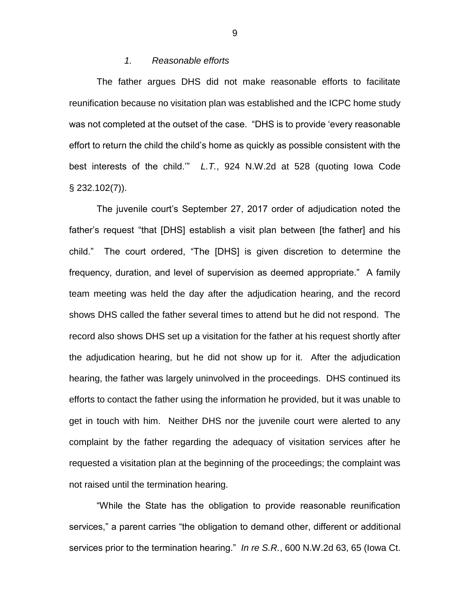### *1. Reasonable efforts*

The father argues DHS did not make reasonable efforts to facilitate reunification because no visitation plan was established and the ICPC home study was not completed at the outset of the case. "DHS is to provide 'every reasonable effort to return the child the child's home as quickly as possible consistent with the best interests of the child.'" *L.T.*, 924 N.W.2d at 528 (quoting Iowa Code § 232.102(7)).

The juvenile court's September 27, 2017 order of adjudication noted the father's request "that [DHS] establish a visit plan between [the father] and his child." The court ordered, "The [DHS] is given discretion to determine the frequency, duration, and level of supervision as deemed appropriate." A family team meeting was held the day after the adjudication hearing, and the record shows DHS called the father several times to attend but he did not respond. The record also shows DHS set up a visitation for the father at his request shortly after the adjudication hearing, but he did not show up for it. After the adjudication hearing, the father was largely uninvolved in the proceedings. DHS continued its efforts to contact the father using the information he provided, but it was unable to get in touch with him. Neither DHS nor the juvenile court were alerted to any complaint by the father regarding the adequacy of visitation services after he requested a visitation plan at the beginning of the proceedings; the complaint was not raised until the termination hearing.

"While the State has the obligation to provide reasonable reunification services," a parent carries "the obligation to demand other, different or additional services prior to the termination hearing." *In re S.R.*, 600 N.W.2d 63, 65 (Iowa Ct.

9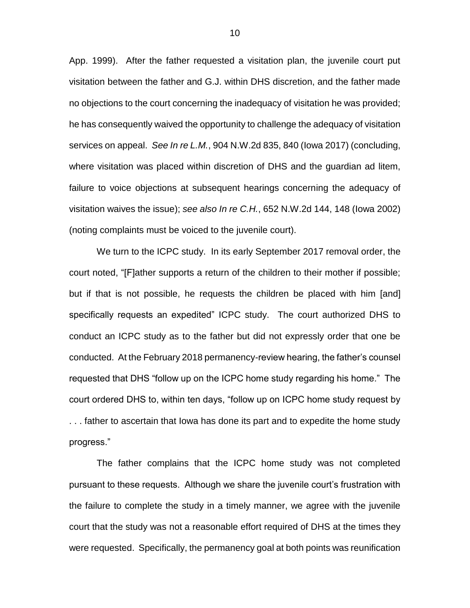App. 1999). After the father requested a visitation plan, the juvenile court put visitation between the father and G.J. within DHS discretion, and the father made no objections to the court concerning the inadequacy of visitation he was provided; he has consequently waived the opportunity to challenge the adequacy of visitation services on appeal. *See In re L.M.*, 904 N.W.2d 835, 840 (Iowa 2017) (concluding, where visitation was placed within discretion of DHS and the guardian ad litem, failure to voice objections at subsequent hearings concerning the adequacy of visitation waives the issue); *see also In re C.H.*, 652 N.W.2d 144, 148 (Iowa 2002) (noting complaints must be voiced to the juvenile court).

We turn to the ICPC study. In its early September 2017 removal order, the court noted, "[F]ather supports a return of the children to their mother if possible; but if that is not possible, he requests the children be placed with him [and] specifically requests an expedited" ICPC study. The court authorized DHS to conduct an ICPC study as to the father but did not expressly order that one be conducted. At the February 2018 permanency-review hearing, the father's counsel requested that DHS "follow up on the ICPC home study regarding his home." The court ordered DHS to, within ten days, "follow up on ICPC home study request by . . . father to ascertain that Iowa has done its part and to expedite the home study progress."

The father complains that the ICPC home study was not completed pursuant to these requests. Although we share the juvenile court's frustration with the failure to complete the study in a timely manner, we agree with the juvenile court that the study was not a reasonable effort required of DHS at the times they were requested. Specifically, the permanency goal at both points was reunification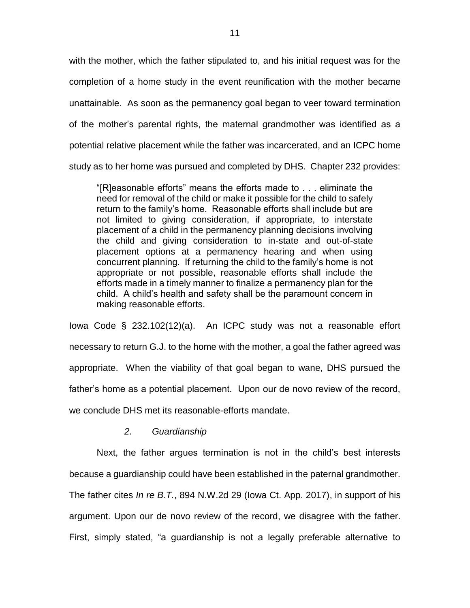with the mother, which the father stipulated to, and his initial request was for the completion of a home study in the event reunification with the mother became unattainable. As soon as the permanency goal began to veer toward termination of the mother's parental rights, the maternal grandmother was identified as a potential relative placement while the father was incarcerated, and an ICPC home study as to her home was pursued and completed by DHS. Chapter 232 provides:

"[R]easonable efforts" means the efforts made to . . . eliminate the need for removal of the child or make it possible for the child to safely return to the family's home. Reasonable efforts shall include but are not limited to giving consideration, if appropriate, to interstate placement of a child in the permanency planning decisions involving the child and giving consideration to in-state and out-of-state placement options at a permanency hearing and when using concurrent planning. If returning the child to the family's home is not appropriate or not possible, reasonable efforts shall include the efforts made in a timely manner to finalize a permanency plan for the child. A child's health and safety shall be the paramount concern in making reasonable efforts.

Iowa Code § 232.102(12)(a). An ICPC study was not a reasonable effort necessary to return G.J. to the home with the mother, a goal the father agreed was appropriate. When the viability of that goal began to wane, DHS pursued the father's home as a potential placement. Upon our de novo review of the record, we conclude DHS met its reasonable-efforts mandate.

### *2. Guardianship*

Next, the father argues termination is not in the child's best interests because a guardianship could have been established in the paternal grandmother. The father cites *In re B.T.*, 894 N.W.2d 29 (Iowa Ct. App. 2017), in support of his argument. Upon our de novo review of the record, we disagree with the father. First, simply stated, "a guardianship is not a legally preferable alternative to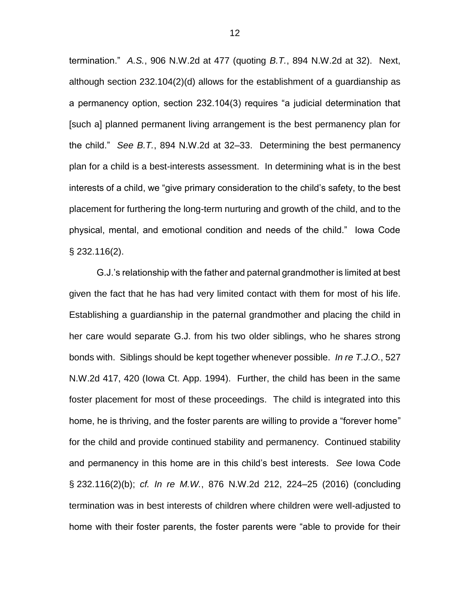termination." *A.S.*, 906 N.W.2d at 477 (quoting *B.T.*, 894 N.W.2d at 32). Next, although section 232.104(2)(d) allows for the establishment of a guardianship as a permanency option, section 232.104(3) requires "a judicial determination that [such a] planned permanent living arrangement is the best permanency plan for the child." *See B.T.*, 894 N.W.2d at 32–33. Determining the best permanency plan for a child is a best-interests assessment. In determining what is in the best interests of a child, we "give primary consideration to the child's safety, to the best placement for furthering the long-term nurturing and growth of the child, and to the physical, mental, and emotional condition and needs of the child." Iowa Code § 232.116(2).

G.J.'s relationship with the father and paternal grandmother is limited at best given the fact that he has had very limited contact with them for most of his life. Establishing a guardianship in the paternal grandmother and placing the child in her care would separate G.J. from his two older siblings, who he shares strong bonds with. Siblings should be kept together whenever possible. *In re T.J.O.*, 527 N.W.2d 417, 420 (Iowa Ct. App. 1994). Further, the child has been in the same foster placement for most of these proceedings. The child is integrated into this home, he is thriving, and the foster parents are willing to provide a "forever home" for the child and provide continued stability and permanency. Continued stability and permanency in this home are in this child's best interests. *See* Iowa Code § 232.116(2)(b); *cf. In re M.W.*, 876 N.W.2d 212, 224–25 (2016) (concluding termination was in best interests of children where children were well-adjusted to home with their foster parents, the foster parents were "able to provide for their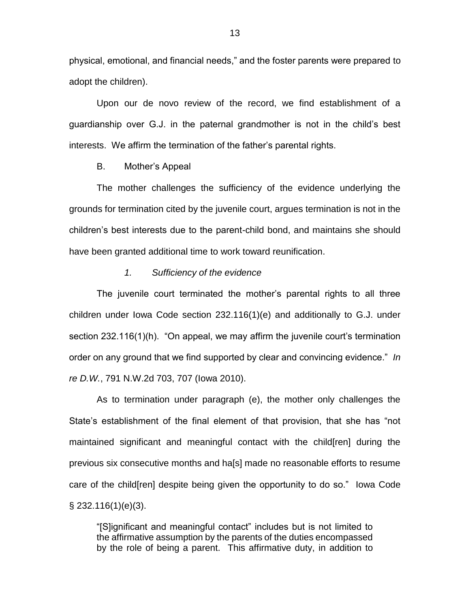physical, emotional, and financial needs," and the foster parents were prepared to adopt the children).

Upon our de novo review of the record, we find establishment of a guardianship over G.J. in the paternal grandmother is not in the child's best interests. We affirm the termination of the father's parental rights.

### B. Mother's Appeal

The mother challenges the sufficiency of the evidence underlying the grounds for termination cited by the juvenile court, argues termination is not in the children's best interests due to the parent-child bond, and maintains she should have been granted additional time to work toward reunification.

#### *1. Sufficiency of the evidence*

The juvenile court terminated the mother's parental rights to all three children under Iowa Code section 232.116(1)(e) and additionally to G.J. under section 232.116(1)(h). "On appeal, we may affirm the juvenile court's termination order on any ground that we find supported by clear and convincing evidence." *In re D.W.*, 791 N.W.2d 703, 707 (Iowa 2010).

As to termination under paragraph (e), the mother only challenges the State's establishment of the final element of that provision, that she has "not maintained significant and meaningful contact with the child[ren] during the previous six consecutive months and ha[s] made no reasonable efforts to resume care of the child[ren] despite being given the opportunity to do so." Iowa Code  $\S$  232.116(1)(e)(3).

"[S]ignificant and meaningful contact" includes but is not limited to the affirmative assumption by the parents of the duties encompassed by the role of being a parent. This affirmative duty, in addition to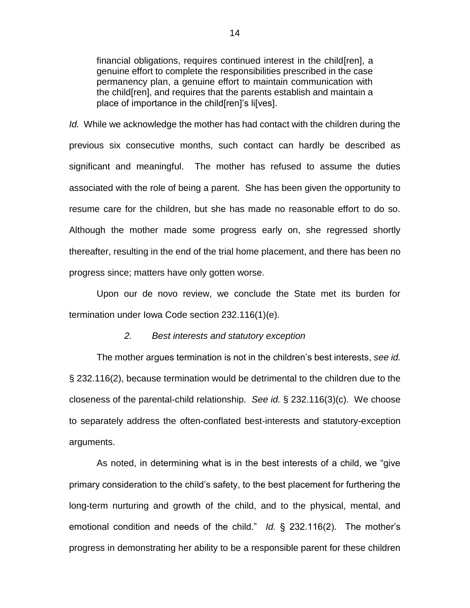financial obligations, requires continued interest in the child[ren], a genuine effort to complete the responsibilities prescribed in the case permanency plan, a genuine effort to maintain communication with the child[ren], and requires that the parents establish and maintain a place of importance in the child[ren]'s li[ves].

*Id.* While we acknowledge the mother has had contact with the children during the previous six consecutive months, such contact can hardly be described as significant and meaningful. The mother has refused to assume the duties associated with the role of being a parent. She has been given the opportunity to resume care for the children, but she has made no reasonable effort to do so. Although the mother made some progress early on, she regressed shortly thereafter, resulting in the end of the trial home placement, and there has been no progress since; matters have only gotten worse.

Upon our de novo review, we conclude the State met its burden for termination under Iowa Code section 232.116(1)(e).

### *2. Best interests and statutory exception*

The mother argues termination is not in the children's best interests, *see id.*  § 232.116(2), because termination would be detrimental to the children due to the closeness of the parental-child relationship. *See id.* § 232.116(3)(c). We choose to separately address the often-conflated best-interests and statutory-exception arguments.

As noted, in determining what is in the best interests of a child, we "give primary consideration to the child's safety, to the best placement for furthering the long-term nurturing and growth of the child, and to the physical, mental, and emotional condition and needs of the child." *Id.* § 232.116(2). The mother's progress in demonstrating her ability to be a responsible parent for these children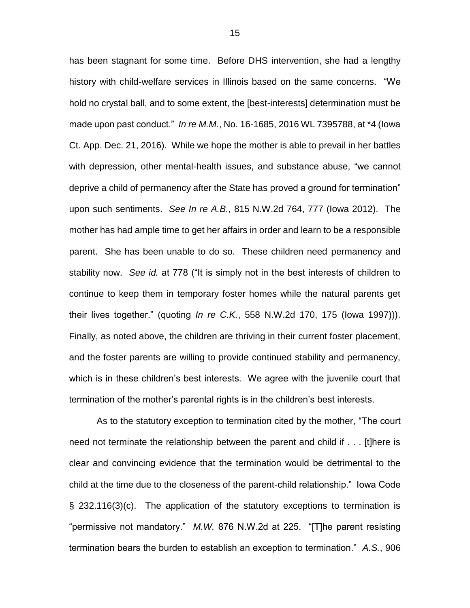has been stagnant for some time. Before DHS intervention, she had a lengthy history with child-welfare services in Illinois based on the same concerns. "We hold no crystal ball, and to some extent, the [best-interests] determination must be made upon past conduct." *In re M.M.*, No. 16-1685, 2016 WL 7395788, at \*4 (Iowa Ct. App. Dec. 21, 2016). While we hope the mother is able to prevail in her battles with depression, other mental-health issues, and substance abuse, "we cannot deprive a child of permanency after the State has proved a ground for termination" upon such sentiments. *See In re A.B.*, 815 N.W.2d 764, 777 (Iowa 2012). The mother has had ample time to get her affairs in order and learn to be a responsible parent. She has been unable to do so. These children need permanency and stability now. *See id.* at 778 ("It is simply not in the best interests of children to continue to keep them in temporary foster homes while the natural parents get their lives together." (quoting *In re C.K.*, 558 N.W.2d 170, 175 (Iowa 1997))). Finally, as noted above, the children are thriving in their current foster placement, and the foster parents are willing to provide continued stability and permanency, which is in these children's best interests. We agree with the juvenile court that termination of the mother's parental rights is in the children's best interests.

As to the statutory exception to termination cited by the mother, "The court need not terminate the relationship between the parent and child if . . . [t]here is clear and convincing evidence that the termination would be detrimental to the child at the time due to the closeness of the parent-child relationship." Iowa Code § 232.116(3)(c). The application of the statutory exceptions to termination is "permissive not mandatory." *M.W.* 876 N.W.2d at 225. "[T]he parent resisting termination bears the burden to establish an exception to termination." *A.S.*, 906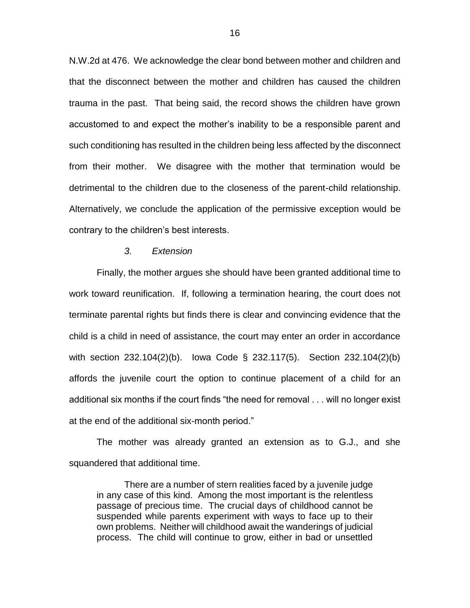N.W.2d at 476. We acknowledge the clear bond between mother and children and that the disconnect between the mother and children has caused the children trauma in the past. That being said, the record shows the children have grown accustomed to and expect the mother's inability to be a responsible parent and such conditioning has resulted in the children being less affected by the disconnect from their mother. We disagree with the mother that termination would be detrimental to the children due to the closeness of the parent-child relationship. Alternatively, we conclude the application of the permissive exception would be contrary to the children's best interests.

### *3. Extension*

Finally, the mother argues she should have been granted additional time to work toward reunification. If, following a termination hearing, the court does not terminate parental rights but finds there is clear and convincing evidence that the child is a child in need of assistance, the court may enter an order in accordance with section 232.104(2)(b). Iowa Code § 232.117(5). Section 232.104(2)(b) affords the juvenile court the option to continue placement of a child for an additional six months if the court finds "the need for removal . . . will no longer exist at the end of the additional six-month period."

The mother was already granted an extension as to G.J., and she squandered that additional time.

There are a number of stern realities faced by a juvenile judge in any case of this kind. Among the most important is the relentless passage of precious time. The crucial days of childhood cannot be suspended while parents experiment with ways to face up to their own problems. Neither will childhood await the wanderings of judicial process. The child will continue to grow, either in bad or unsettled